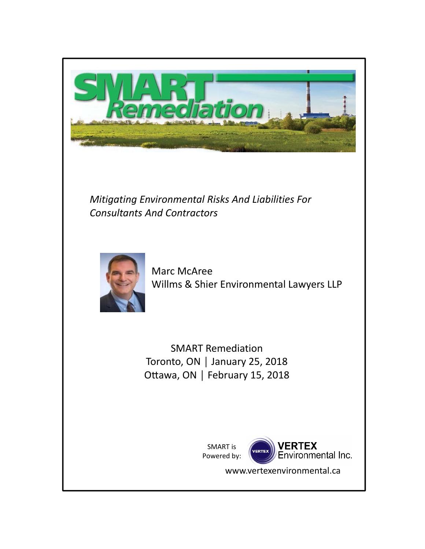

*Mitigating Environmental Risks And Liabilities For Consultants And Contractors*



Marc McAree Willms & Shier Environmental Lawyers LLP

SMART Remediation Toronto, ON │ January 25, 2018 Ottawa, ON | February 15, 2018

> SMART is Powered by:



www.vertexenvironmental.ca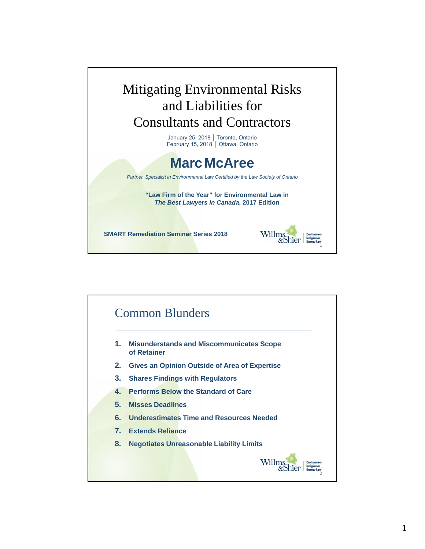

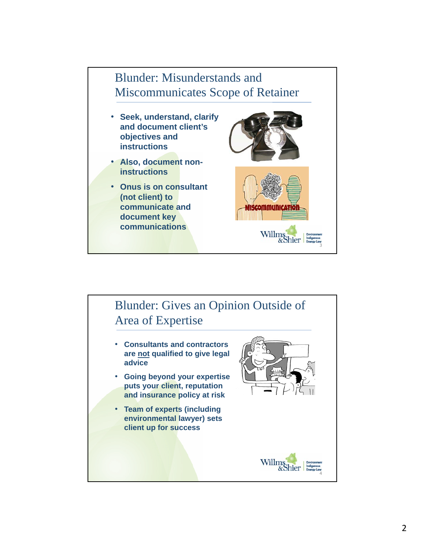

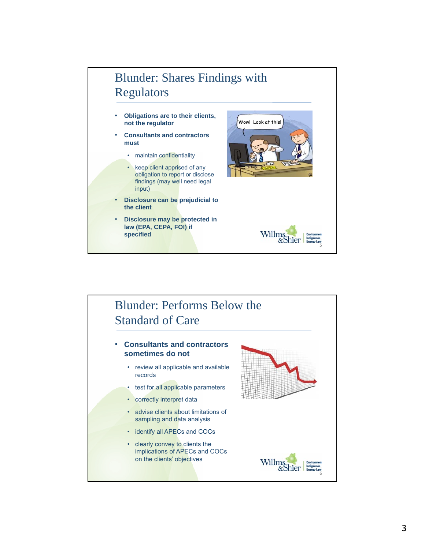## Blunder: Shares Findings with Regulators Wow! Look at this! • **Obligations are to their clients, not the regulator**  • **Consultants and contractors must** • maintain confidentiality • keep client apprised of any

- obligation to report or disclose findings (may well need legal input)
- **Disclosure can be prejudicial to the client**
- **Disclosure may be protected in law (EPA, CEPA, FOI) if specified**



## Blunder: Performs Below the Standard of Care Willing & Shier • **Consultants and contractors sometimes do not**  • review all applicable and available records • test for all applicable parameters • correctly interpret data • advise clients about limitations of sampling and data analysis • identify all APECs and COCs • clearly convey to clients the implications of APECs and COCs on the clients' objectives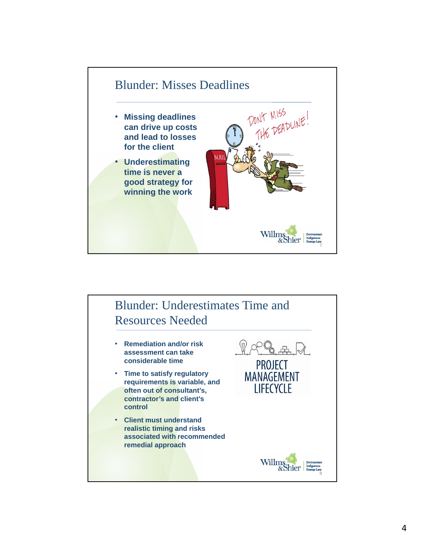

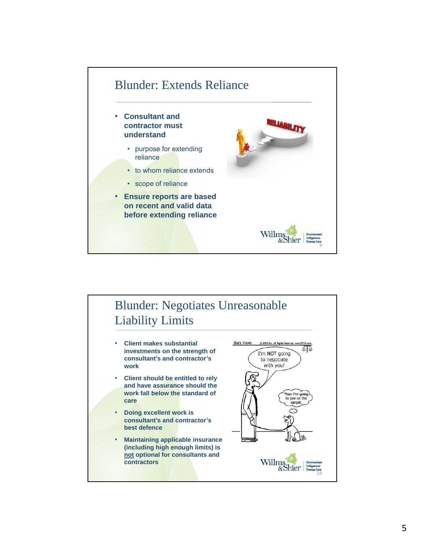

## Blunder: Negotiates Unreasonable Liability Limits

- **Client makes substantial investments on the strength of consultant's and contractor's work**
- **Client should be entitled to rely and have assurance should the work fall below the standard of care**
- **Doing excellent work is consultant's and contractor's best defence**
- **Maintaining applicable insurance (including high enough limits) is not optional for consultants and contractors**